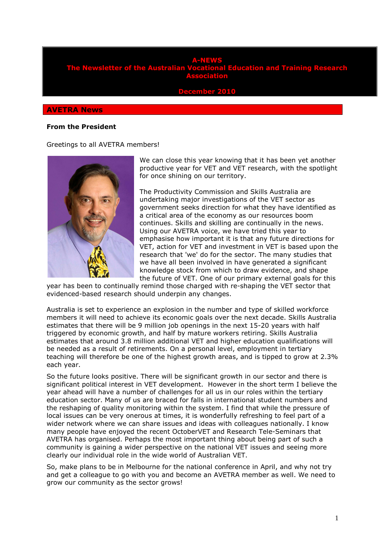#### **A-NEWS the Australian Vocational Education and Training Research Association**

**<u>ember 20</u>** 

### **AVETRA News**

#### **From the President**

Greetings to all AVETRA members!



We can close this year knowing that it has been yet another productive year for VET and VET research, with the spotlight for once shining on our territory.

The Productivity Commission and Skills Australia are undertaking major investigations of the VET sector as government seeks direction for what they have identified as a critical area of the economy as our resources boom continues. Skills and skilling are continually in the news. Using our AVETRA voice, we have tried this year to emphasise how important it is that any future directions for VET, action for VET and investment in VET is based upon the research that 'we' do for the sector. The many studies that we have all been involved in have generated a significant knowledge stock from which to draw evidence, and shape the future of VET. One of our primary external goals for this

year has been to continually remind those charged with re-shaping the VET sector that evidenced-based research should underpin any changes.

Australia is set to experience an explosion in the number and type of skilled workforce members it will need to achieve its economic goals over the next decade. Skills Australia estimates that there will be 9 million job openings in the next 15-20 years with half triggered by economic growth, and half by mature workers retiring. Skills Australia estimates that around 3.8 million additional VET and higher education qualifications will be needed as a result of retirements. On a personal level, employment in tertiary teaching will therefore be one of the highest growth areas, and is tipped to grow at 2.3% each year.

So the future looks positive. There will be significant growth in our sector and there is significant political interest in VET development. However in the short term I believe the year ahead will have a number of challenges for all us in our roles within the tertiary education sector. Many of us are braced for falls in international student numbers and the reshaping of quality monitoring within the system. I find that while the pressure of local issues can be very onerous at times, it is wonderfully refreshing to feel part of a wider network where we can share issues and ideas with colleagues nationally. I know many people have enjoyed the recent OctoberVET and Research Tele-Seminars that AVETRA has organised. Perhaps the most important thing about being part of such a community is gaining a wider perspective on the national VET issues and seeing more clearly our individual role in the wide world of Australian VET.

So, make plans to be in Melbourne for the national conference in April, and why not try and get a colleague to go with you and become an AVETRA member as well. We need to grow our community as the sector grows!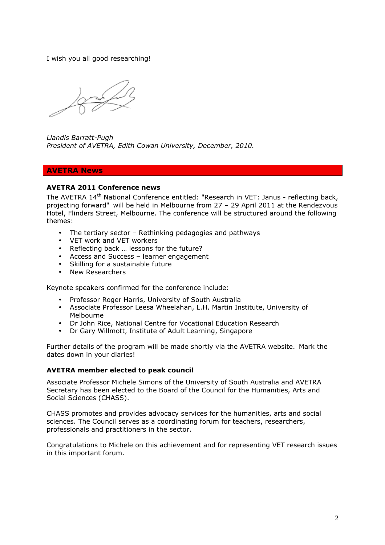I wish you all good researching!

*Llandis Barratt-Pugh President of AVETRA, Edith Cowan University, December, 2010.* 

# **AVETRA News**

# **AVETRA 2011 Conference news**

The AVETRA 14<sup>th</sup> National Conference entitled: "Research in VET: Janus - reflecting back, projecting forward" will be held in Melbourne from 27 – 29 April 2011 at the Rendezvous Hotel, Flinders Street, Melbourne. The conference will be structured around the following themes:

- The tertiary sector Rethinking pedagogies and pathways
- VET work and VET workers
- Reflecting back … lessons for the future?
- Access and Success learner engagement
- Skilling for a sustainable future
- New Researchers

Keynote speakers confirmed for the conference include:

- Professor Roger Harris, University of South Australia
- Associate Professor Leesa Wheelahan, L.H. Martin Institute, University of Melbourne
- Dr John Rice, National Centre for Vocational Education Research
- Dr Gary Willmott, Institute of Adult Learning, Singapore

Further details of the program will be made shortly via the AVETRA website. Mark the dates down in your diaries!

# **AVETRA member elected to peak council**

Associate Professor Michele Simons of the University of South Australia and AVETRA Secretary has been elected to the Board of the Council for the Humanities, Arts and Social Sciences (CHASS).

CHASS promotes and provides advocacy services for the humanities, arts and social sciences. The Council serves as a coordinating forum for teachers, researchers, professionals and practitioners in the sector.

Congratulations to Michele on this achievement and for representing VET research issues in this important forum.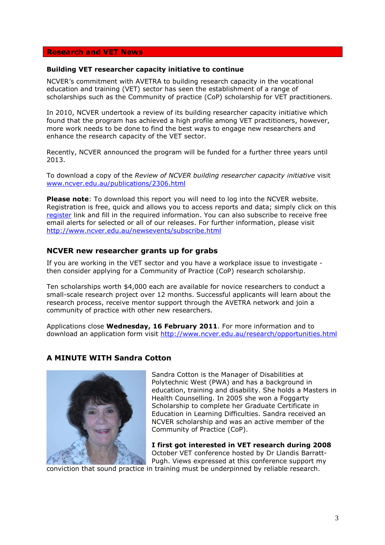# **Research and VET News**

### **Building VET researcher capacity initiative to continue**

NCVER's commitment with AVETRA to building research capacity in the vocational education and training (VET) sector has seen the establishment of a range of scholarships such as the Community of practice (CoP) scholarship for VET practitioners.

In 2010, NCVER undertook a review of its building researcher capacity initiative which found that the program has achieved a high profile among VET practitioners, however, more work needs to be done to find the best ways to engage new researchers and enhance the research capacity of the VET sector.

Recently, NCVER announced the program will be funded for a further three years until 2013.

To download a copy of the *Review of NCVER building researcher capacity initiative* visit www.ncver.edu.au/publications/2306.html

**Please note**: To download this report you will need to log into the NCVER website. Registration is free, quick and allows you to access reports and data; simply click on this register link and fill in the required information. You can also subscribe to receive free email alerts for selected or all of our releases. For further information, please visit http://www.ncver.edu.au/newsevents/subscribe.html

# **NCVER new researcher grants up for grabs**

If you are working in the VET sector and you have a workplace issue to investigate then consider applying for a Community of Practice (CoP) research scholarship.

Ten scholarships worth \$4,000 each are available for novice researchers to conduct a small-scale research project over 12 months. Successful applicants will learn about the research process, receive mentor support through the AVETRA network and join a community of practice with other new researchers.

Applications close **Wednesday, 16 February 2011**. For more information and to download an application form visit http://www.ncver.edu.au/research/opportunities.html

# **A MINUTE WITH Sandra Cotton**



Sandra Cotton is the Manager of Disabilities at Polytechnic West (PWA) and has a background in education, training and disability. She holds a Masters in Health Counselling. In 2005 she won a Foggarty Scholarship to complete her Graduate Certificate in Education in Learning Difficulties. Sandra received an NCVER scholarship and was an active member of the Community of Practice (CoP).

**I first got interested in VET research during 2008**  October VET conference hosted by Dr Llandis Barratt-Pugh. Views expressed at this conference support my

conviction that sound practice in training must be underpinned by reliable research.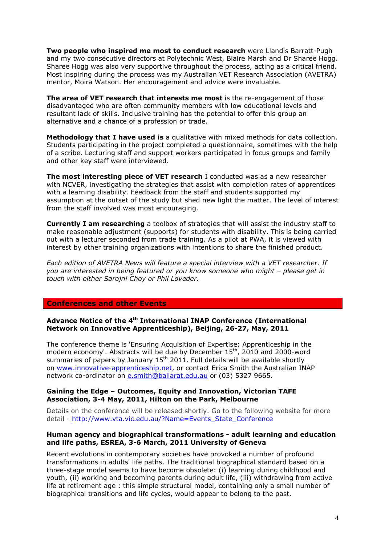**Two people who inspired me most to conduct research** were Llandis Barratt-Pugh and my two consecutive directors at Polytechnic West, Blaire Marsh and Dr Sharee Hogg. Sharee Hogg was also very supportive throughout the process, acting as a critical friend. Most inspiring during the process was my Australian VET Research Association (AVETRA) mentor, Moira Watson. Her encouragement and advice were invaluable.

**The area of VET research that interests me most** is the re-engagement of those disadvantaged who are often community members with low educational levels and resultant lack of skills. Inclusive training has the potential to offer this group an alternative and a chance of a profession or trade.

**Methodology that I have used is** a qualitative with mixed methods for data collection. Students participating in the project completed a questionnaire, sometimes with the help of a scribe. Lecturing staff and support workers participated in focus groups and family and other key staff were interviewed.

**The most interesting piece of VET research** I conducted was as a new researcher with NCVER, investigating the strategies that assist with completion rates of apprentices with a learning disability. Feedback from the staff and students supported my assumption at the outset of the study but shed new light the matter. The level of interest from the staff involved was most encouraging.

**Currently I am researching** a toolbox of strategies that will assist the industry staff to make reasonable adjustment (supports) for students with disability. This is being carried out with a lecturer seconded from trade training. As a pilot at PWA, it is viewed with interest by other training organizations with intentions to share the finished product.

*Each edition of AVETRA News will feature a special interview with a VET researcher. If you are interested in being featured or you know someone who might – please get in touch with either Sarojni Choy or Phil Loveder.* 

### **Conferences and other Events**

## **Advance Notice of the 4th International INAP Conference (International Network on Innovative Apprenticeship), Beijing, 26-27, May, 2011**

The conference theme is 'Ensuring Acquisition of Expertise: Apprenticeship in the modern economy'. Abstracts will be due by December 15<sup>th</sup>, 2010 and 2000-word summaries of papers by January  $15<sup>th</sup> 2011$ . Full details will be available shortly on www.innovative-apprenticeship.net, or contact Erica Smith the Australian INAP network co-ordinator on e.smith@ballarat.edu.au or (03) 5327 9665.

### **Gaining the Edge – Outcomes, Equity and Innovation, Victorian TAFE Association, 3-4 May, 2011, Hilton on the Park, Melbourne**

Details on the conference will be released shortly. Go to the following website for more detail - http://www.vta.vic.edu.au/?Name=Events\_State\_Conference

#### **Human agency and biographical transformations - adult learning and education and life paths, ESREA, 3-6 March, 2011 University of Geneva**

Recent evolutions in contemporary societies have provoked a number of profound transformations in adults' life paths. The traditional biographical standard based on a three-stage model seems to have become obsolete: (i) learning during childhood and youth, (ii) working and becoming parents during adult life, (iii) withdrawing from active life at retirement age : this simple structural model, containing only a small number of biographical transitions and life cycles, would appear to belong to the past.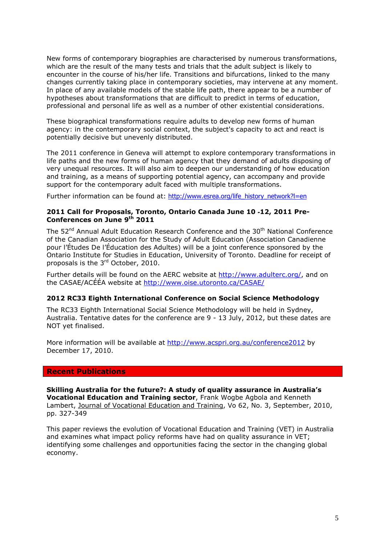New forms of contemporary biographies are characterised by numerous transformations, which are the result of the many tests and trials that the adult subject is likely to encounter in the course of his/her life. Transitions and bifurcations, linked to the many changes currently taking place in contemporary societies, may intervene at any moment. In place of any available models of the stable life path, there appear to be a number of hypotheses about transformations that are difficult to predict in terms of education, professional and personal life as well as a number of other existential considerations.

These biographical transformations require adults to develop new forms of human agency: in the contemporary social context, the subject's capacity to act and react is potentially decisive but unevenly distributed.

The 2011 conference in Geneva will attempt to explore contemporary transformations in life paths and the new forms of human agency that they demand of adults disposing of very unequal resources. It will also aim to deepen our understanding of how education and training, as a means of supporting potential agency, can accompany and provide support for the contemporary adult faced with multiple transformations.

Further information can be found at: http://www.esrea.org/life\_history\_network?l=en

## **2011 Call for Proposals, Toronto, Ontario Canada June 10** ‐**12, 2011 Pre-Conferences on June 9th 2011**

The 52<sup>nd</sup> Annual Adult Education Research Conference and the 30<sup>th</sup> National Conference of the Canadian Association for the Study of Adult Education (Association Canadienne pour l'Études De l'Éducation des Adultes) will be a joint conference sponsored by the Ontario Institute for Studies in Education, University of Toronto. Deadline for receipt of proposals is the 3rd October, 2010.

Further details will be found on the AERC website at http://www.adulterc.org/, and on the CASAE/ACÉÉA website at http://www.oise.utoronto.ca/CASAE/

### **2012 RC33 Eighth International Conference on Social Science Methodology**

The RC33 Eighth International Social Science Methodology will be held in Sydney, Australia. Tentative dates for the conference are 9 - 13 July, 2012, but these dates are NOT yet finalised.

More information will be available at http://www.acspri.org.au/conference2012 by December 17, 2010.

# **Recent Publications**

**Skilling Australia for the future?: A study of quality assurance in Australia's Vocational Education and Training sector**, Frank Wogbe Agbola and Kenneth Lambert, Journal of Vocational Education and Training, Vo 62, No. 3, September, 2010, pp. 327-349

This paper reviews the evolution of Vocational Education and Training (VET) in Australia and examines what impact policy reforms have had on quality assurance in VET; identifying some challenges and opportunities facing the sector in the changing global economy.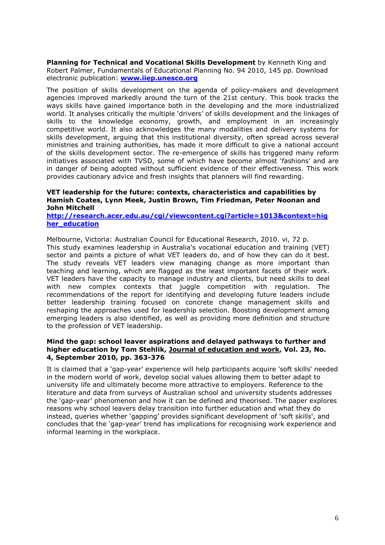**Planning for Technical and Vocational Skills Development** by Kenneth King and Robert Palmer, Fundamentals of Educational Planning No. 94 2010, 145 pp. Download electronic publication: **www.iiep.unesco.org**

The position of skills development on the agenda of policy-makers and development agencies improved markedly around the turn of the 21st century. This book tracks the ways skills have gained importance both in the developing and the more industrialized world. It analyses critically the multiple 'drivers' of skills development and the linkages of skills to the knowledge economy, growth, and employment in an increasingly competitive world. It also acknowledges the many modalities and delivery systems for skills development, arguing that this institutional diversity, often spread across several ministries and training authorities, has made it more difficult to give a national account of the skills development sector. The re-emergence of skills has triggered many reform initiatives associated with TVSD, some of which have become almost 'fashions' and are in danger of being adopted without sufficient evidence of their effectiveness. This work provides cautionary advice and fresh insights that planners will find rewarding.

## **VET leadership for the future: contexts, characteristics and capabilities by Hamish Coates, Lynn Meek, Justin Brown, Tim Friedman, Peter Noonan and John Mitchell**

**http://research.acer.edu.au/cgi/viewcontent.cgi?article=1013&context=hig her\_education** 

Melbourne, Victoria: Australian Council for Educational Research, 2010. vi, 72 p. This study examines leadership in Australia's vocational education and training (VET) sector and paints a picture of what VET leaders do, and of how they can do it best. The study reveals VET leaders view managing change as more important than teaching and learning, which are flagged as the least important facets of their work. VET leaders have the capacity to manage industry and clients, but need skills to deal with new complex contexts that juggle competition with regulation. The recommendations of the report for identifying and developing future leaders include better leadership training focused on concrete change management skills and reshaping the approaches used for leadership selection. Boosting development among emerging leaders is also identified, as well as providing more definition and structure to the profession of VET leadership.

#### **Mind the gap: school leaver aspirations and delayed pathways to further and higher education by Tom Stehlik, Journal of education and work, Vol. 23, No. 4, September 2010, pp. 363-376**

It is claimed that a 'gap-year' experience will help participants acquire 'soft skills' needed in the modern world of work, develop social values allowing them to better adapt to university life and ultimately become more attractive to employers. Reference to the literature and data from surveys of Australian school and university students addresses the 'gap-year' phenomenon and how it can be defined and theorised. The paper explores reasons why school leavers delay transition into further education and what they do instead, queries whether 'gapping' provides significant development of 'soft skills', and concludes that the 'gap-year' trend has implications for recognising work experience and informal learning in the workplace.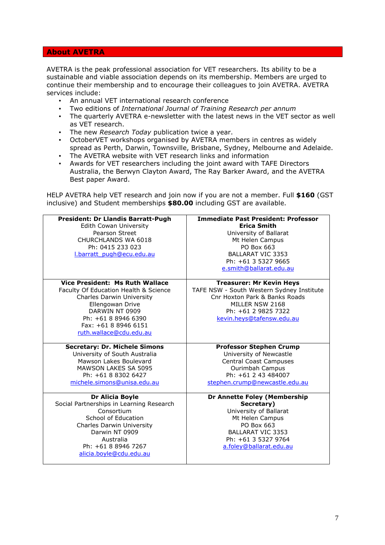### **About AVETRA**

AVETRA is the peak professional association for VET researchers. Its ability to be a sustainable and viable association depends on its membership. Members are urged to continue their membership and to encourage their colleagues to join AVETRA. AVETRA services include:

- An annual VET international research conference
- Two editions of *International Journal of Training Research per annum*
- The quarterly AVETRA e-newsletter with the latest news in the VET sector as well as VET research.
- The new *Research Today* publication twice a year.
- OctoberVET workshops organised by AVETRA members in centres as widely spread as Perth, Darwin, Townsville, Brisbane, Sydney, Melbourne and Adelaide.
- The AVETRA website with VET research links and information
- Awards for VET researchers including the joint award with TAFE Directors Australia, the Berwyn Clayton Award, The Ray Barker Award, and the AVETRA Best paper Award.

HELP AVETRA help VET research and join now if you are not a member. Full **\$160** (GST inclusive) and Student memberships **\$80.00** including GST are available.

| President: Dr Llandis Barratt-Pugh<br><b>Edith Cowan University</b><br>Pearson Street<br>CHURCHLANDS WA 6018<br>Ph: 0415 233 023<br>I.barratt pugh@ecu.edu.au                                                                | <b>Immediate Past President: Professor</b><br><b>Erica Smith</b><br>University of Ballarat<br>Mt Helen Campus<br>PO Box 663<br><b>BALLARAT VIC 3353</b><br>Ph: +61 3 5327 9665<br>e.smith@ballarat.edu.au |
|------------------------------------------------------------------------------------------------------------------------------------------------------------------------------------------------------------------------------|-----------------------------------------------------------------------------------------------------------------------------------------------------------------------------------------------------------|
| <b>Vice President: Ms Ruth Wallace</b><br>Faculty Of Education Health & Science<br>Charles Darwin University<br>Ellengowan Drive<br>DARWIN NT 0909<br>Ph: +61 8 8946 6390<br>Fax: +61 8 8946 6151<br>ruth.wallace@cdu.edu.au | <b>Treasurer: Mr Kevin Heys</b><br>TAFE NSW - South Western Sydney Institute<br>Cnr Hoxton Park & Banks Roads<br>MILLER NSW 2168<br>Ph: +61 2 9825 7322<br>kevin.heys@tafensw.edu.au                      |
| <b>Secretary: Dr. Michele Simons</b><br>University of South Australia<br>Mawson Lakes Boulevard<br><b>MAWSON LAKES SA 5095</b><br>Ph: +61 8 8302 6427<br>michele.simons@unisa.edu.au                                         | <b>Professor Stephen Crump</b><br>University of Newcastle<br><b>Central Coast Campuses</b><br>Ourimbah Campus<br>Ph: +61 2 43 484007<br>stephen.crump@newcastle.edu.au                                    |
| <b>Dr Alicia Boyle</b><br>Social Partnerships in Learning Research<br>Consortium<br>School of Education<br>Charles Darwin University<br>Darwin NT 0909<br>Australia<br>Ph: +61 8 8946 7267<br>alicia.boyle@cdu.edu.au        | Dr Annette Foley (Membership<br>Secretary)<br>University of Ballarat<br>Mt Helen Campus<br>PO Box 663<br><b>BALLARAT VIC 3353</b><br>Ph: +61 3 5327 9764<br>a.foley@ballarat.edu.au                       |